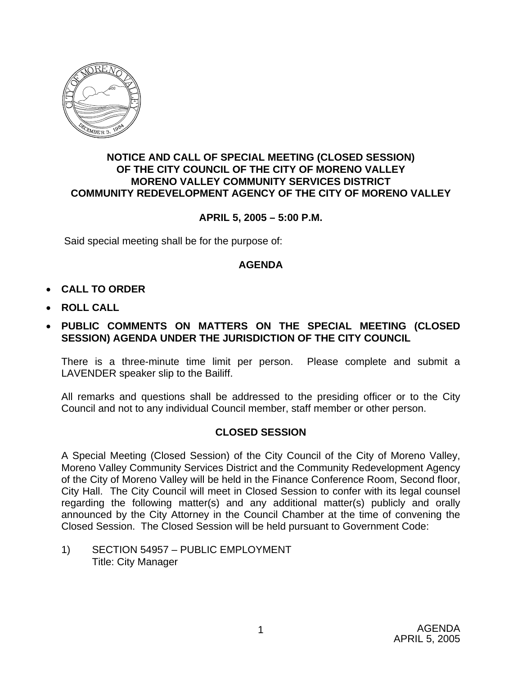

### **NOTICE AND CALL OF SPECIAL MEETING (CLOSED SESSION) OF THE CITY COUNCIL OF THE CITY OF MORENO VALLEY MORENO VALLEY COMMUNITY SERVICES DISTRICT COMMUNITY REDEVELOPMENT AGENCY OF THE CITY OF MORENO VALLEY**

# **APRIL 5, 2005 – 5:00 P.M.**

Said special meeting shall be for the purpose of:

## **AGENDA**

- **CALL TO ORDER**
- **ROLL CALL**

## • **PUBLIC COMMENTS ON MATTERS ON THE SPECIAL MEETING (CLOSED SESSION) AGENDA UNDER THE JURISDICTION OF THE CITY COUNCIL**

There is a three-minute time limit per person. Please complete and submit a LAVENDER speaker slip to the Bailiff.

All remarks and questions shall be addressed to the presiding officer or to the City Council and not to any individual Council member, staff member or other person.

## **CLOSED SESSION**

A Special Meeting (Closed Session) of the City Council of the City of Moreno Valley, Moreno Valley Community Services District and the Community Redevelopment Agency of the City of Moreno Valley will be held in the Finance Conference Room, Second floor, City Hall. The City Council will meet in Closed Session to confer with its legal counsel regarding the following matter(s) and any additional matter(s) publicly and orally announced by the City Attorney in the Council Chamber at the time of convening the Closed Session. The Closed Session will be held pursuant to Government Code:

1) SECTION 54957 – PUBLIC EMPLOYMENT Title: City Manager